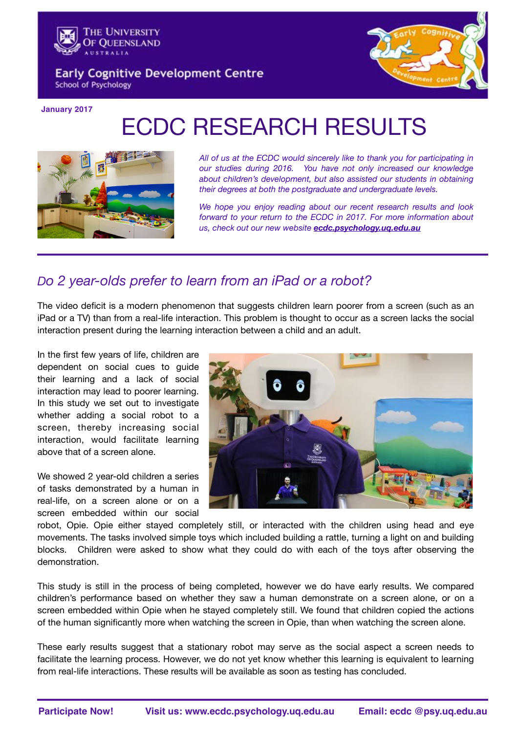

**Early Cognitive Development Centre School of Psychology** 



**January 2017**

# ECDC RESEARCH RESULTS



*All of us at the ECDC would sincerely like to thank you for participating in our studies during 2016. You have not only increased our knowledge about children's development, but also assisted our students in obtaining their degrees at both the postgraduate and undergraduate levels.* 

*We hope you enjoy reading about our recent research results and look forward to your return to the ECDC in 2017. For more information about us, check out our new website [ecdc.psychology.uq.edu.au](http://ecdc.psychology.uq.edu.au)* 

## *Do 2 year-olds prefer to learn from an iPad or a robot?*

The video deficit is a modern phenomenon that suggests children learn poorer from a screen (such as an iPad or a TV) than from a real-life interaction. This problem is thought to occur as a screen lacks the social interaction present during the learning interaction between a child and an adult.

In the first few years of life, children are dependent on social cues to guide their learning and a lack of social interaction may lead to poorer learning. In this study we set out to investigate whether adding a social robot to a screen, thereby increasing social interaction, would facilitate learning above that of a screen alone.

We showed 2 year-old children a series of tasks demonstrated by a human in real-life, on a screen alone or on a screen embedded within our social



robot, Opie. Opie either stayed completely still, or interacted with the children using head and eye movements. The tasks involved simple toys which included building a rattle, turning a light on and building blocks. Children were asked to show what they could do with each of the toys after observing the demonstration.

This study is still in the process of being completed, however we do have early results. We compared children's performance based on whether they saw a human demonstrate on a screen alone, or on a screen embedded within Opie when he stayed completely still. We found that children copied the actions of the human significantly more when watching the screen in Opie, than when watching the screen alone.

These early results suggest that a stationary robot may serve as the social aspect a screen needs to facilitate the learning process. However, we do not yet know whether this learning is equivalent to learning from real-life interactions. These results will be available as soon as testing has concluded.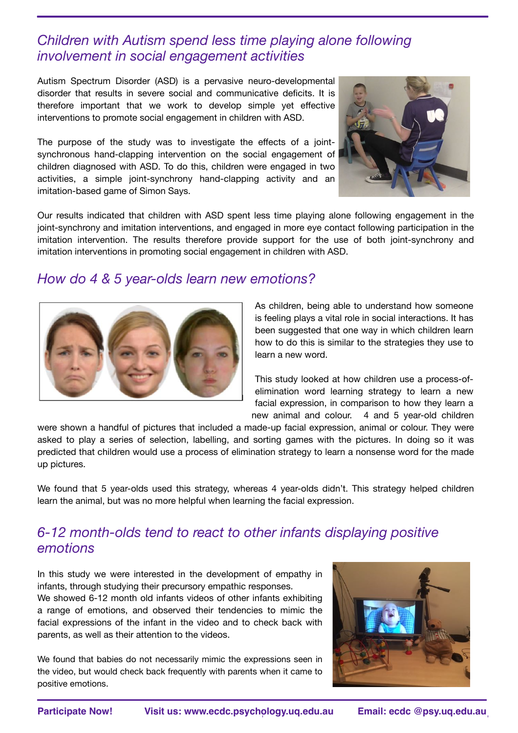## *Children with Autism spend less time playing alone following involvement in social engagement activities*

Autism Spectrum Disorder (ASD) is a pervasive neuro-developmental disorder that results in severe social and communicative deficits. It is therefore important that we work to develop simple yet effective interventions to promote social engagement in children with ASD.

The purpose of the study was to investigate the effects of a jointsynchronous hand-clapping intervention on the social engagement of children diagnosed with ASD. To do this, children were engaged in two activities, a simple joint-synchrony hand-clapping activity and an imitation-based game of Simon Says.



Our results indicated that children with ASD spent less time playing alone following engagement in the joint-synchrony and imitation interventions, and engaged in more eye contact following participation in the imitation intervention. The results therefore provide support for the use of both joint-synchrony and imitation interventions in promoting social engagement in children with ASD.

#### *How do 4 & 5 year-olds learn new emotions?*



As children, being able to understand how someone is feeling plays a vital role in social interactions. It has been suggested that one way in which children learn how to do this is similar to the strategies they use to learn a new word.

This study looked at how children use a process-ofelimination word learning strategy to learn a new facial expression, in comparison to how they learn a new animal and colour. 4 and 5 year-old children

were shown a handful of pictures that included a made-up facial expression, animal or colour. They were asked to play a series of selection, labelling, and sorting games with the pictures. In doing so it was predicted that children would use a process of elimination strategy to learn a nonsense word for the made up pictures.

We found that 5 year-olds used this strategy, whereas 4 year-olds didn't. This strategy helped children learn the animal, but was no more helpful when learning the facial expression.

## *6-12 month-olds tend to react to other infants displaying positive emotions*

In this study we were interested in the development of empathy in infants, through studying their precursory empathic responses. We showed 6-12 month old infants videos of other infants exhibiting a range of emotions, and observed their tendencies to mimic the facial expressions of the infant in the video and to check back with parents, as well as their attention to the videos.

We found that babies do not necessarily mimic the expressions seen in the video, but would check back frequently with parents when it came to positive emotions.

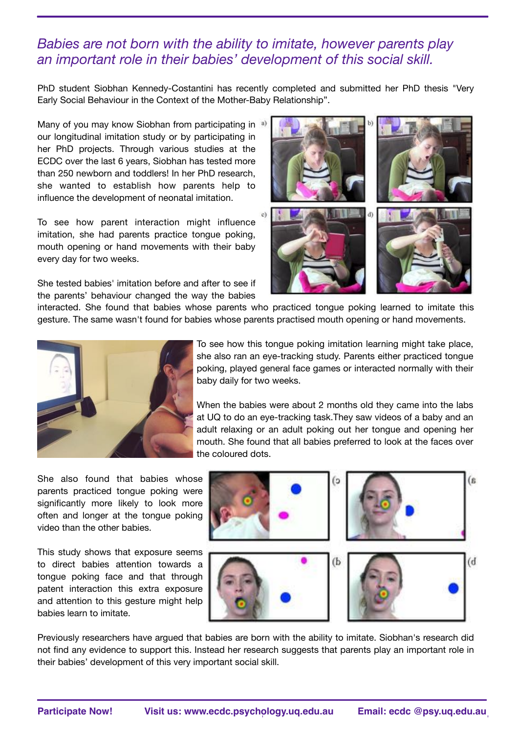#### *Babies are not born with the ability to imitate, however parents play an important role in their babies' development of this social skill.*

PhD student Siobhan Kennedy-Costantini has recently completed and submitted her PhD thesis "Very Early Social Behaviour in the Context of the Mother-Baby Relationship".

Many of you may know Siobhan from participating in a) our longitudinal imitation study or by participating in her PhD projects. Through various studies at the ECDC over the last 6 years, Siobhan has tested more than 250 newborn and toddlers! In her PhD research, she wanted to establish how parents help to influence the development of neonatal imitation.

To see how parent interaction might influence imitation, she had parents practice tongue poking, mouth opening or hand movements with their baby every day for two weeks.

She tested babies' imitation before and after to see if the parents' behaviour changed the way the babies



interacted. She found that babies whose parents who practiced tongue poking learned to imitate this gesture. The same wasn't found for babies whose parents practised mouth opening or hand movements.



To see how this tongue poking imitation learning might take place, she also ran an eye-tracking study. Parents either practiced tongue poking, played general face games or interacted normally with their baby daily for two weeks.

When the babies were about 2 months old they came into the labs at UQ to do an eye-tracking task.They saw videos of a baby and an adult relaxing or an adult poking out her tongue and opening her mouth. She found that all babies preferred to look at the faces over the coloured dots.

She also found that babies whose parents practiced tongue poking were significantly more likely to look more often and longer at the tongue poking video than the other babies.

This study shows that exposure seems to direct babies attention towards a tongue poking face and that through patent interaction this extra exposure and attention to this gesture might help babies learn to imitate.



Previously researchers have argued that babies are born with the ability to imitate. Siobhan's research did not find any evidence to support this. Instead her research suggests that parents play an important role in their babies' development of this very important social skill.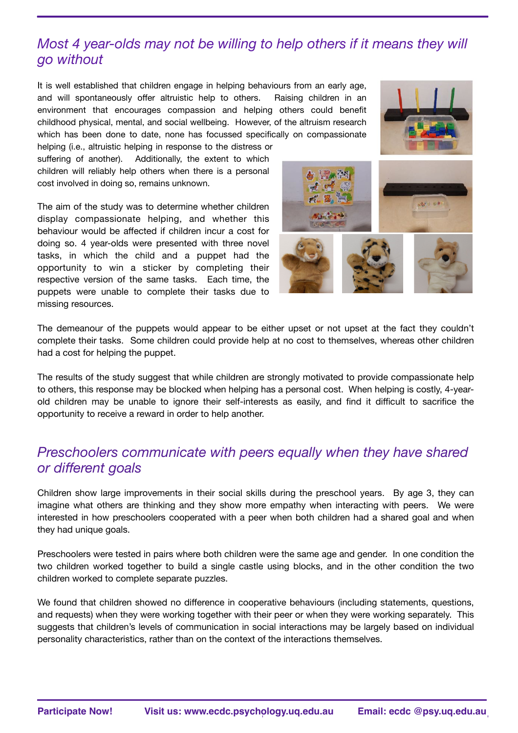# *Most 4 year-olds may not be willing to help others if it means they will go without*

It is well established that children engage in helping behaviours from an early age, and will spontaneously offer altruistic help to others. Raising children in an environment that encourages compassion and helping others could benefit childhood physical, mental, and social wellbeing. However, of the altruism research which has been done to date, none has focussed specifically on compassionate

helping (i.e., altruistic helping in response to the distress or suffering of another). Additionally, the extent to which children will reliably help others when there is a personal cost involved in doing so, remains unknown.

The aim of the study was to determine whether children display compassionate helping, and whether this behaviour would be affected if children incur a cost for doing so. 4 year-olds were presented with three novel tasks, in which the child and a puppet had the opportunity to win a sticker by completing their respective version of the same tasks. Each time, the puppets were unable to complete their tasks due to missing resources.





The demeanour of the puppets would appear to be either upset or not upset at the fact they couldn't complete their tasks. Some children could provide help at no cost to themselves, whereas other children had a cost for helping the puppet.

The results of the study suggest that while children are strongly motivated to provide compassionate help to others, this response may be blocked when helping has a personal cost. When helping is costly, 4-yearold children may be unable to ignore their self-interests as easily, and find it difficult to sacrifice the opportunity to receive a reward in order to help another.

#### *Preschoolers communicate with peers equally when they have shared or different goals*

Children show large improvements in their social skills during the preschool years. By age 3, they can imagine what others are thinking and they show more empathy when interacting with peers. We were interested in how preschoolers cooperated with a peer when both children had a shared goal and when they had unique goals.

Preschoolers were tested in pairs where both children were the same age and gender. In one condition the two children worked together to build a single castle using blocks, and in the other condition the two children worked to complete separate puzzles.

We found that children showed no difference in cooperative behaviours (including statements, questions, and requests) when they were working together with their peer or when they were working separately. This suggests that children's levels of communication in social interactions may be largely based on individual personality characteristics, rather than on the context of the interactions themselves.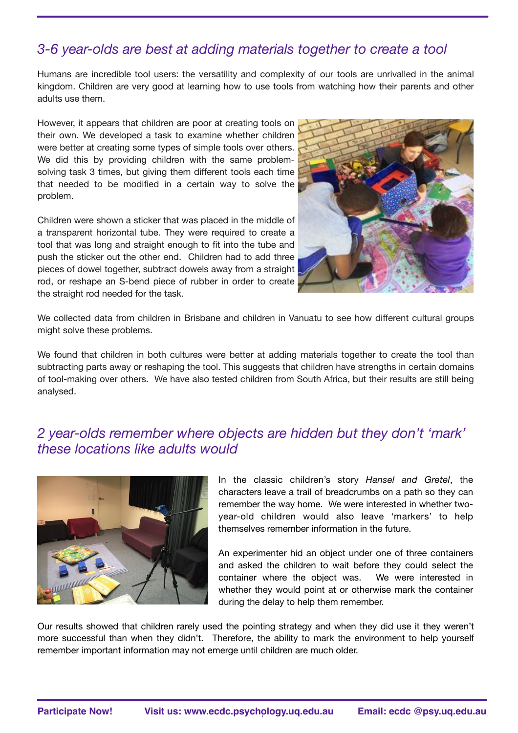## *3-6 year-olds are best at adding materials together to create a tool*

Humans are incredible tool users: the versatility and complexity of our tools are unrivalled in the animal kingdom. Children are very good at learning how to use tools from watching how their parents and other adults use them.

However, it appears that children are poor at creating tools on their own. We developed a task to examine whether children were better at creating some types of simple tools over others. We did this by providing children with the same problemsolving task 3 times, but giving them different tools each time that needed to be modified in a certain way to solve the problem.

Children were shown a sticker that was placed in the middle of a transparent horizontal tube. They were required to create a tool that was long and straight enough to fit into the tube and push the sticker out the other end. Children had to add three pieces of dowel together, subtract dowels away from a straight rod, or reshape an S-bend piece of rubber in order to create the straight rod needed for the task.



We collected data from children in Brisbane and children in Vanuatu to see how different cultural groups might solve these problems.

We found that children in both cultures were better at adding materials together to create the tool than subtracting parts away or reshaping the tool. This suggests that children have strengths in certain domains of tool-making over others. We have also tested children from South Africa, but their results are still being analysed.

#### *2 year-olds remember where objects are hidden but they don't 'mark' these locations like adults would*



In the classic children's story *Hansel and Gretel*, the characters leave a trail of breadcrumbs on a path so they can remember the way home. We were interested in whether twoyear-old children would also leave 'markers' to help themselves remember information in the future.

An experimenter hid an object under one of three containers and asked the children to wait before they could select the container where the object was. We were interested in whether they would point at or otherwise mark the container during the delay to help them remember.

Our results showed that children rarely used the pointing strategy and when they did use it they weren't more successful than when they didn't. Therefore, the ability to mark the environment to help yourself remember important information may not emerge until children are much older.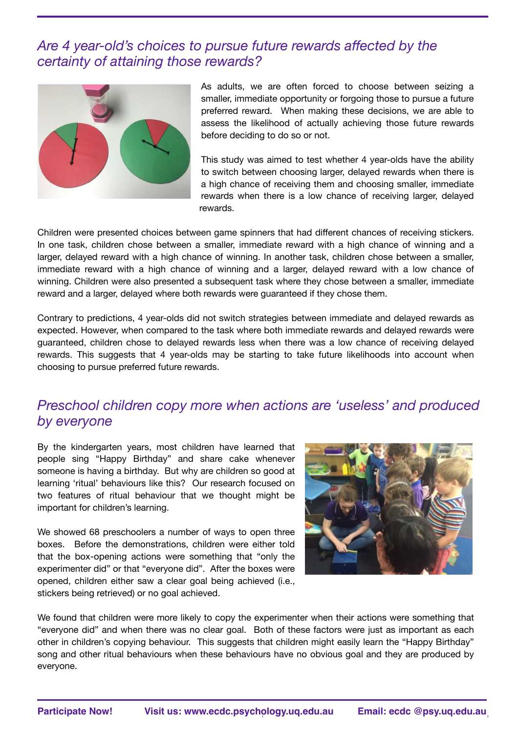#### *Are 4 year-old's choices to pursue future rewards affected by the certainty of attaining those rewards?*



As adults, we are often forced to choose between seizing a smaller, immediate opportunity or forgoing those to pursue a future preferred reward. When making these decisions, we are able to assess the likelihood of actually achieving those future rewards before deciding to do so or not.

This study was aimed to test whether 4 year-olds have the ability to switch between choosing larger, delayed rewards when there is a high chance of receiving them and choosing smaller, immediate rewards when there is a low chance of receiving larger, delayed rewards.

Children were presented choices between game spinners that had different chances of receiving stickers. In one task, children chose between a smaller, immediate reward with a high chance of winning and a larger, delayed reward with a high chance of winning. In another task, children chose between a smaller, immediate reward with a high chance of winning and a larger, delayed reward with a low chance of winning. Children were also presented a subsequent task where they chose between a smaller, immediate reward and a larger, delayed where both rewards were guaranteed if they chose them.

Contrary to predictions, 4 year-olds did not switch strategies between immediate and delayed rewards as expected. However, when compared to the task where both immediate rewards and delayed rewards were guaranteed, children chose to delayed rewards less when there was a low chance of receiving delayed rewards. This suggests that 4 year-olds may be starting to take future likelihoods into account when choosing to pursue preferred future rewards.

## *Preschool children copy more when actions are 'useless' and produced by everyone*

By the kindergarten years, most children have learned that people sing "Happy Birthday" and share cake whenever someone is having a birthday. But why are children so good at learning 'ritual' behaviours like this? Our research focused on two features of ritual behaviour that we thought might be important for children's learning.

We showed 68 preschoolers a number of ways to open three boxes. Before the demonstrations, children were either told that the box-opening actions were something that "only the experimenter did" or that "everyone did". After the boxes were opened, children either saw a clear goal being achieved (i.e., stickers being retrieved) or no goal achieved.



We found that children were more likely to copy the experimenter when their actions were something that "everyone did" and when there was no clear goal. Both of these factors were just as important as each other in children's copying behaviour. This suggests that children might easily learn the "Happy Birthday" song and other ritual behaviours when these behaviours have no obvious goal and they are produced by everyone.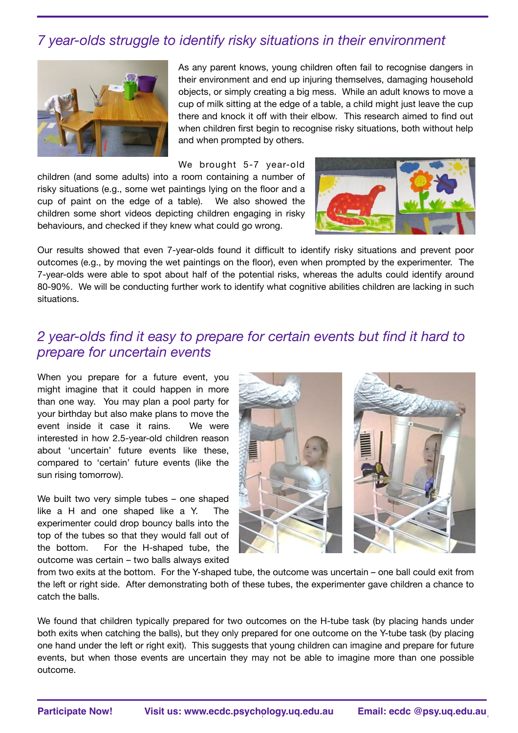# *7 year-olds struggle to identify risky situations in their environment*



As any parent knows, young children often fail to recognise dangers in their environment and end up injuring themselves, damaging household objects, or simply creating a big mess. While an adult knows to move a cup of milk sitting at the edge of a table, a child might just leave the cup there and knock it off with their elbow. This research aimed to find out when children first begin to recognise risky situations, both without help and when prompted by others.

We brought 5-7 year-old children (and some adults) into a room containing a number of risky situations (e.g., some wet paintings lying on the floor and a cup of paint on the edge of a table). We also showed the children some short videos depicting children engaging in risky behaviours, and checked if they knew what could go wrong.



Our results showed that even 7-year-olds found it difficult to identify risky situations and prevent poor outcomes (e.g., by moving the wet paintings on the floor), even when prompted by the experimenter. The 7-year-olds were able to spot about half of the potential risks, whereas the adults could identify around 80-90%. We will be conducting further work to identify what cognitive abilities children are lacking in such situations.

#### *2 year-olds find it easy to prepare for certain events but find it hard to prepare for uncertain events*

When you prepare for a future event, you might imagine that it could happen in more than one way. You may plan a pool party for your birthday but also make plans to move the event inside it case it rains. We were interested in how 2.5-year-old children reason about 'uncertain' future events like these, compared to 'certain' future events (like the sun rising tomorrow).

We built two very simple tubes - one shaped like a H and one shaped like a Y. The experimenter could drop bouncy balls into the top of the tubes so that they would fall out of the bottom. For the H-shaped tube, the outcome was certain – two balls always exited



from two exits at the bottom. For the Y-shaped tube, the outcome was uncertain – one ball could exit from the left or right side. After demonstrating both of these tubes, the experimenter gave children a chance to catch the balls.

We found that children typically prepared for two outcomes on the H-tube task (by placing hands under both exits when catching the balls), but they only prepared for one outcome on the Y-tube task (by placing one hand under the left or right exit). This suggests that young children can imagine and prepare for future events, but when those events are uncertain they may not be able to imagine more than one possible outcome.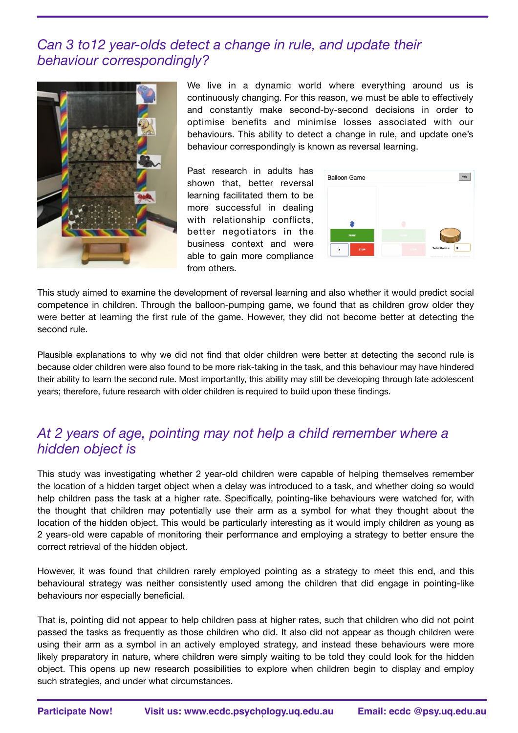#### *Can 3 to12 year-olds detect a change in rule, and update their behaviour correspondingly?*



We live in a dynamic world where everything around us is continuously changing. For this reason, we must be able to effectively and constantly make second-by-second decisions in order to optimise benefits and minimise losses associated with our behaviours. This ability to detect a change in rule, and update one's behaviour correspondingly is known as reversal learning.

Past research in adults has shown that, better reversal learning facilitated them to be more successful in dealing with relationship conflicts, better negotiators in the business context and were able to gain more compliance from others.

| <b>PUMP</b> |  |
|-------------|--|

This study aimed to examine the development of reversal learning and also whether it would predict social competence in children. Through the balloon-pumping game, we found that as children grow older they were better at learning the first rule of the game. However, they did not become better at detecting the second rule.

Plausible explanations to why we did not find that older children were better at detecting the second rule is because older children were also found to be more risk-taking in the task, and this behaviour may have hindered their ability to learn the second rule. Most importantly, this ability may still be developing through late adolescent years; therefore, future research with older children is required to build upon these findings.

#### *At 2 years of age, pointing may not help a child remember where a hidden object is*

This study was investigating whether 2 year-old children were capable of helping themselves remember the location of a hidden target object when a delay was introduced to a task, and whether doing so would help children pass the task at a higher rate. Specifically, pointing-like behaviours were watched for, with the thought that children may potentially use their arm as a symbol for what they thought about the location of the hidden object. This would be particularly interesting as it would imply children as young as 2 years-old were capable of monitoring their performance and employing a strategy to better ensure the correct retrieval of the hidden object.

However, it was found that children rarely employed pointing as a strategy to meet this end, and this behavioural strategy was neither consistently used among the children that did engage in pointing-like behaviours nor especially beneficial.

That is, pointing did not appear to help children pass at higher rates, such that children who did not point passed the tasks as frequently as those children who did. It also did not appear as though children were using their arm as a symbol in an actively employed strategy, and instead these behaviours were more likely preparatory in nature, where children were simply waiting to be told they could look for the hidden object. This opens up new research possibilities to explore when children begin to display and employ such strategies, and under what circumstances.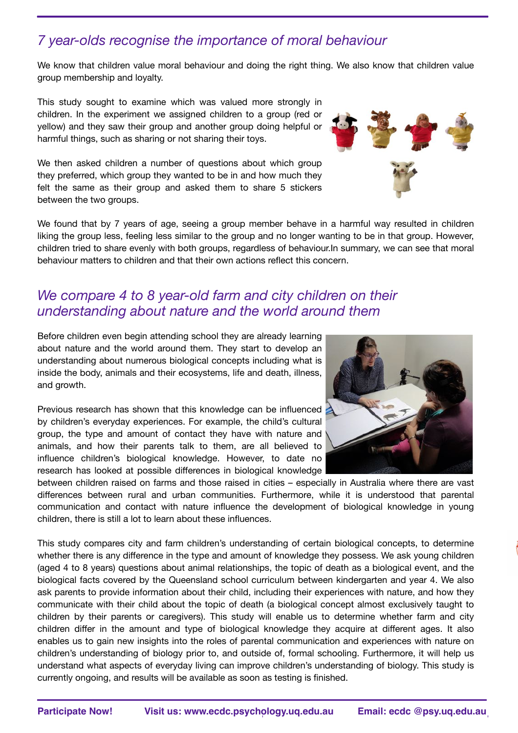# *7 year-olds recognise the importance of moral behaviour*

We know that children value moral behaviour and doing the right thing. We also know that children value group membership and loyalty.

This study sought to examine which was valued more strongly in children. In the experiment we assigned children to a group (red or yellow) and they saw their group and another group doing helpful or harmful things, such as sharing or not sharing their toys.

We then asked children a number of questions about which group they preferred, which group they wanted to be in and how much they felt the same as their group and asked them to share 5 stickers between the two groups.

We found that by 7 years of age, seeing a group member behave in a harmful way resulted in children liking the group less, feeling less similar to the group and no longer wanting to be in that group. However, children tried to share evenly with both groups, regardless of behaviour.In summary, we can see that moral behaviour matters to children and that their own actions reflect this concern.

#### *We compare 4 to 8 year-old farm and city children on their understanding about nature and the world around them*

Before children even begin attending school they are already learning about nature and the world around them. They start to develop an understanding about numerous biological concepts including what is inside the body, animals and their ecosystems, life and death, illness, and growth.

Previous research has shown that this knowledge can be influenced by children's everyday experiences. For example, the child's cultural group, the type and amount of contact they have with nature and animals, and how their parents talk to them, are all believed to influence children's biological knowledge. However, to date no research has looked at possible differences in biological knowledge

between children raised on farms and those raised in cities – especially in Australia where there are vast differences between rural and urban communities. Furthermore, while it is understood that parental communication and contact with nature influence the development of biological knowledge in young children, there is still a lot to learn about these influences.

This study compares city and farm children's understanding of certain biological concepts, to determine whether there is any difference in the type and amount of knowledge they possess. We ask young children (aged 4 to 8 years) questions about animal relationships, the topic of death as a biological event, and the biological facts covered by the Queensland school curriculum between kindergarten and year 4. We also ask parents to provide information about their child, including their experiences with nature, and how they communicate with their child about the topic of death (a biological concept almost exclusively taught to children by their parents or caregivers). This study will enable us to determine whether farm and city children differ in the amount and type of biological knowledge they acquire at different ages. It also enables us to gain new insights into the roles of parental communication and experiences with nature on children's understanding of biology prior to, and outside of, formal schooling. Furthermore, it will help us understand what aspects of everyday living can improve children's understanding of biology. This study is currently ongoing, and results will be available as soon as testing is finished.





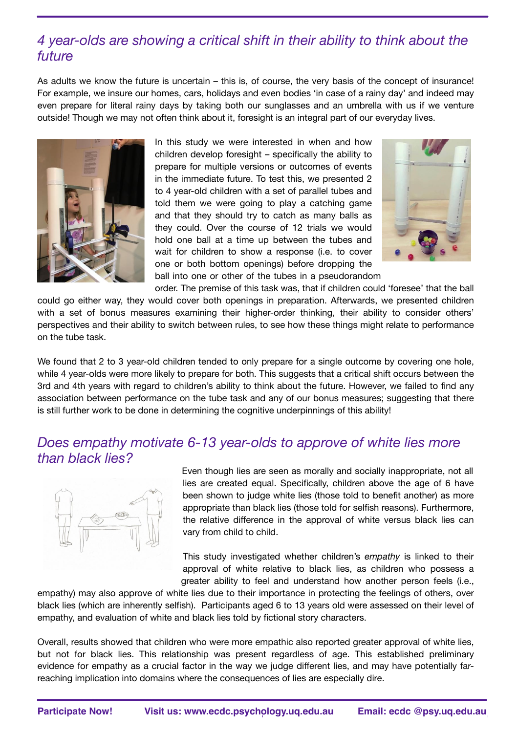## *4 year-olds are showing a critical shift in their ability to think about the future*

As adults we know the future is uncertain – this is, of course, the very basis of the concept of insurance! For example, we insure our homes, cars, holidays and even bodies 'in case of a rainy day' and indeed may even prepare for literal rainy days by taking both our sunglasses and an umbrella with us if we venture outside! Though we may not often think about it, foresight is an integral part of our everyday lives.



In this study we were interested in when and how children develop foresight – specifically the ability to prepare for multiple versions or outcomes of events in the immediate future. To test this, we presented 2 to 4 year-old children with a set of parallel tubes and told them we were going to play a catching game and that they should try to catch as many balls as they could. Over the course of 12 trials we would hold one ball at a time up between the tubes and wait for children to show a response (i.e. to cover one or both bottom openings) before dropping the ball into one or other of the tubes in a pseudorandom



order. The premise of this task was, that if children could 'foresee' that the ball could go either way, they would cover both openings in preparation. Afterwards, we presented children with a set of bonus measures examining their higher-order thinking, their ability to consider others' perspectives and their ability to switch between rules, to see how these things might relate to performance on the tube task.

We found that 2 to 3 year-old children tended to only prepare for a single outcome by covering one hole, while 4 year-olds were more likely to prepare for both. This suggests that a critical shift occurs between the 3rd and 4th years with regard to children's ability to think about the future. However, we failed to find any association between performance on the tube task and any of our bonus measures; suggesting that there is still further work to be done in determining the cognitive underpinnings of this ability!

#### *Does empathy motivate 6-13 year-olds to approve of white lies more than black lies?*



Even though lies are seen as morally and socially inappropriate, not all lies are created equal. Specifically, children above the age of 6 have been shown to judge white lies (those told to benefit another) as more appropriate than black lies (those told for selfish reasons). Furthermore, the relative difference in the approval of white versus black lies can vary from child to child.

This study investigated whether children's *empathy* is linked to their approval of white relative to black lies, as children who possess a greater ability to feel and understand how another person feels (i.e.,

empathy) may also approve of white lies due to their importance in protecting the feelings of others, over black lies (which are inherently selfish). Participants aged 6 to 13 years old were assessed on their level of empathy, and evaluation of white and black lies told by fictional story characters.

Overall, results showed that children who were more empathic also reported greater approval of white lies, but not for black lies. This relationship was present regardless of age. This established preliminary evidence for empathy as a crucial factor in the way we judge different lies, and may have potentially farreaching implication into domains where the consequences of lies are especially dire.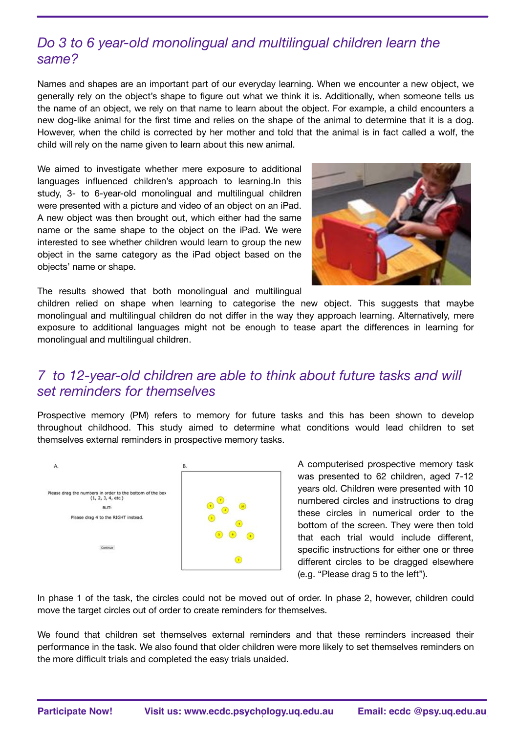# *Do 3 to 6 year-old monolingual and multilingual children learn the same?*

Names and shapes are an important part of our everyday learning. When we encounter a new object, we generally rely on the object's shape to figure out what we think it is. Additionally, when someone tells us the name of an object, we rely on that name to learn about the object. For example, a child encounters a new dog-like animal for the first time and relies on the shape of the animal to determine that it is a dog. However, when the child is corrected by her mother and told that the animal is in fact called a wolf, the child will rely on the name given to learn about this new animal.

We aimed to investigate whether mere exposure to additional languages influenced children's approach to learning.In this study, 3- to 6-year-old monolingual and multilingual children were presented with a picture and video of an object on an iPad. A new object was then brought out, which either had the same name or the same shape to the object on the iPad. We were interested to see whether children would learn to group the new object in the same category as the iPad object based on the objects' name or shape.



The results showed that both monolingual and multilingual

children relied on shape when learning to categorise the new object. This suggests that maybe monolingual and multilingual children do not differ in the way they approach learning. Alternatively, mere exposure to additional languages might not be enough to tease apart the differences in learning for monolingual and multilingual children.

#### *7 to 12-year-old children are able to think about future tasks and will set reminders for themselves*

Prospective memory (PM) refers to memory for future tasks and this has been shown to develop throughout childhood. This study aimed to determine what conditions would lead children to set themselves external reminders in prospective memory tasks.



A computerised prospective memory task was presented to 62 children, aged 7-12 years old. Children were presented with 10 numbered circles and instructions to drag these circles in numerical order to the bottom of the screen. They were then told that each trial would include different, specific instructions for either one or three different circles to be dragged elsewhere (e.g. "Please drag 5 to the left").

In phase 1 of the task, the circles could not be moved out of order. In phase 2, however, children could move the target circles out of order to create reminders for themselves.

We found that children set themselves external reminders and that these reminders increased their performance in the task. We also found that older children were more likely to set themselves reminders on the more difficult trials and completed the easy trials unaided.